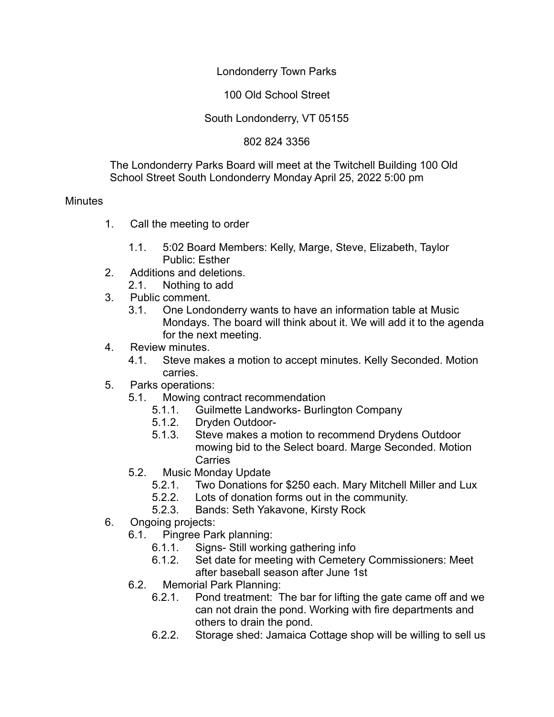Londonderry Town Parks

100 Old School Street

## South Londonderry, VT 05155

802 824 3356

The Londonderry Parks Board will meet at the Twitchell Building 100 Old School Street South Londonderry Monday April 25, 2022 5:00 pm

## **Minutes**

- 1. Call the meeting to order
	- 1.1. 5:02 Board Members: Kelly, Marge, Steve, Elizabeth, Taylor Public: Esther
- 2. Additions and deletions.
	- 2.1. Nothing to add
- 3. Public comment.
	- 3.1. One Londonderry wants to have an information table at Music Mondays. The board will think about it. We will add it to the agenda for the next meeting.
- 4. Review minutes.
	- 4.1. Steve makes a motion to accept minutes. Kelly Seconded. Motion carries.
- 5. Parks operations:
	- 5.1. Mowing contract recommendation
		- 5.1.1. Guilmette Landworks- Burlington Company
		- 5.1.2. Dryden Outdoor-
		- 5.1.3. Steve makes a motion to recommend Drydens Outdoor mowing bid to the Select board. Marge Seconded. Motion Carries
	- 5.2. Music Monday Update
		- 5.2.1. Two Donations for \$250 each. Mary Mitchell Miller and Lux
		- 5.2.2. Lots of donation forms out in the community.
		- 5.2.3. Bands: Seth Yakavone, Kirsty Rock
- 6. Ongoing projects:
	- 6.1. Pingree Park planning:
		- 6.1.1. Signs- Still working gathering info
		- 6.1.2. Set date for meeting with Cemetery Commissioners: Meet after baseball season after June 1st
	- 6.2. Memorial Park Planning:
		- 6.2.1. Pond treatment: The bar for lifting the gate came off and we can not drain the pond. Working with fire departments and others to drain the pond.
		- 6.2.2. Storage shed: Jamaica Cottage shop will be willing to sell us